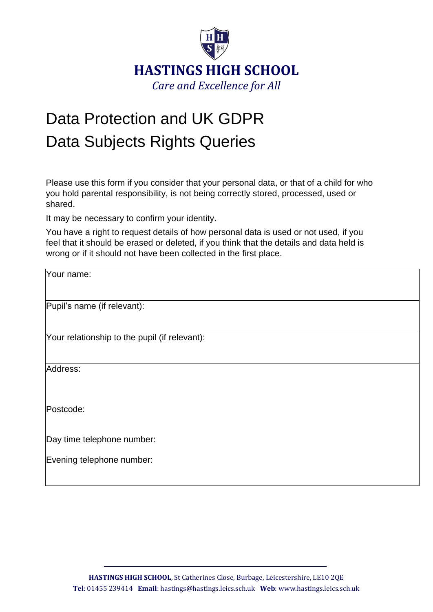

## Data Protection and UK GDPR Data Subjects Rights Queries

Please use this form if you consider that your personal data, or that of a child for who you hold parental responsibility, is not being correctly stored, processed, used or shared.

It may be necessary to confirm your identity.

You have a right to request details of how personal data is used or not used, if you feel that it should be erased or deleted, if you think that the details and data held is wrong or if it should not have been collected in the first place.

| Your name:                                    |
|-----------------------------------------------|
|                                               |
|                                               |
| Pupil's name (if relevant):                   |
|                                               |
| Your relationship to the pupil (if relevant): |
|                                               |
|                                               |
| Address:                                      |
|                                               |
|                                               |
| Postcode:                                     |
|                                               |
|                                               |
| Day time telephone number:                    |
| Evening telephone number:                     |
|                                               |
|                                               |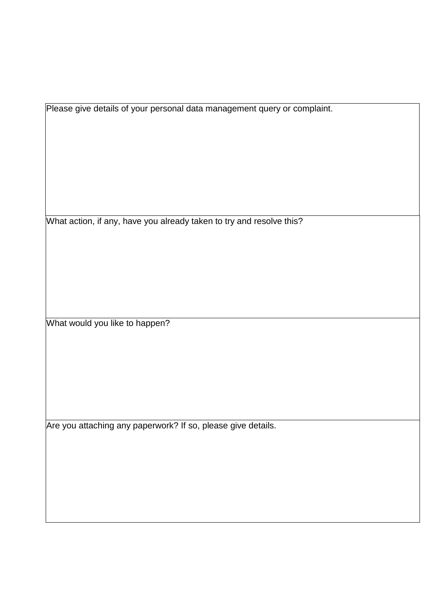Please give details of your personal data management query or complaint.

What action, if any, have you already taken to try and resolve this?

What would you like to happen?

Are you attaching any paperwork? If so, please give details.